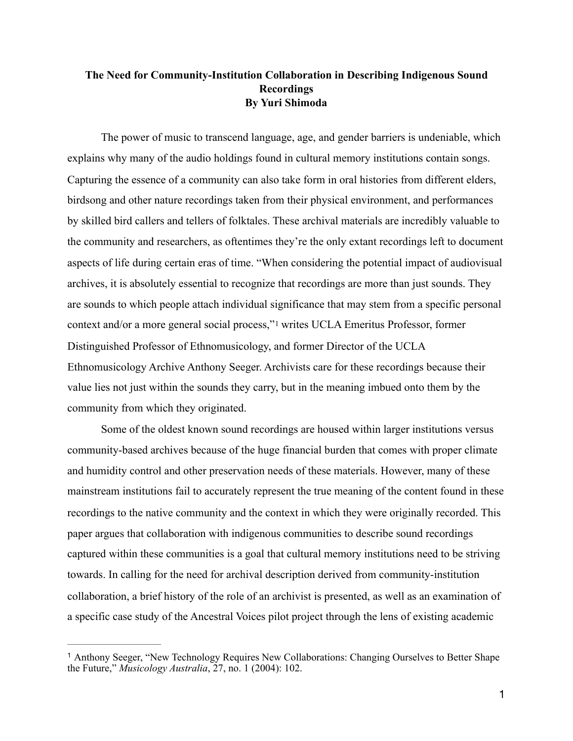## **The Need for Community-Institution Collaboration in Describing Indigenous Sound Recordings By Yuri Shimoda**

 The power of music to transcend language, age, and gender barriers is undeniable, which explains why many of the audio holdings found in cultural memory institutions contain songs. Capturing the essence of a community can also take form in oral histories from different elders, birdsong and other nature recordings taken from their physical environment, and performances by skilled bird callers and tellers of folktales. These archival materials are incredibly valuable to the community and researchers, as oftentimes they're the only extant recordings left to document aspects of life during certain eras of time. "When considering the potential impact of audiovisual archives, it is absolutely essential to recognize that recordings are more than just sounds. They are sounds to which people attach individual significance that may stem from a specific personal context and/or a more general social process,"[1](#page-0-0) writes UCLA Emeritus Professor, former Distinguished Professor of Ethnomusicology, and former Director of the UCLA Ethnomusicology Archive Anthony Seeger. Archivists care for these recordings because their value lies not just within the sounds they carry, but in the meaning imbued onto them by the community from which they originated.

<span id="page-0-1"></span> Some of the oldest known sound recordings are housed within larger institutions versus community-based archives because of the huge financial burden that comes with proper climate and humidity control and other preservation needs of these materials. However, many of these mainstream institutions fail to accurately represent the true meaning of the content found in these recordings to the native community and the context in which they were originally recorded. This paper argues that collaboration with indigenous communities to describe sound recordings captured within these communities is a goal that cultural memory institutions need to be striving towards. In calling for the need for archival description derived from community-institution collaboration, a brief history of the role of an archivist is presented, as well as an examination of a specific case study of the Ancestral Voices pilot project through the lens of existing academic

<span id="page-0-0"></span><sup>&</sup>lt;sup>[1](#page-0-1)</sup> Anthony Seeger, "New Technology Requires New Collaborations: Changing Ourselves to Better Shape the Future," *Musicology Australia*, 27, no. 1 (2004): 102.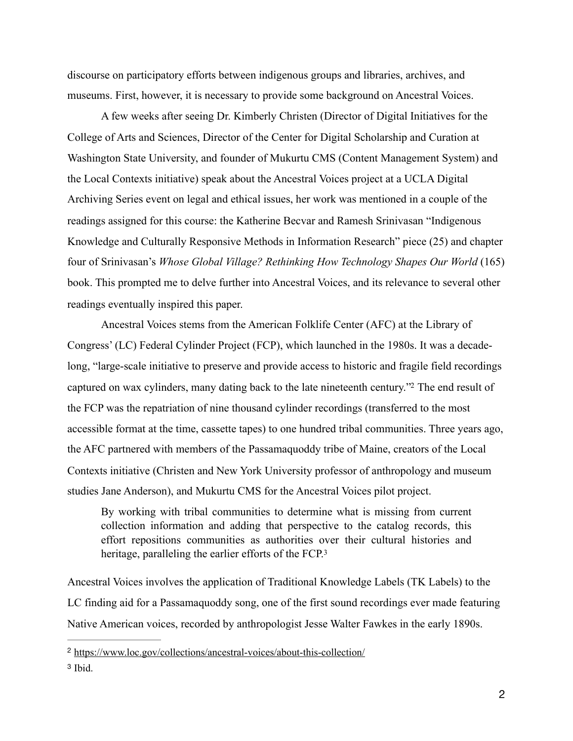discourse on participatory efforts between indigenous groups and libraries, archives, and museums. First, however, it is necessary to provide some background on Ancestral Voices.

 A few weeks after seeing Dr. Kimberly Christen (Director of Digital Initiatives for the College of Arts and Sciences, Director of the Center for Digital Scholarship and Curation at Washington State University, and founder of Mukurtu CMS (Content Management System) and the Local Contexts initiative) speak about the Ancestral Voices project at a UCLA Digital Archiving Series event on legal and ethical issues, her work was mentioned in a couple of the readings assigned for this course: the Katherine Becvar and Ramesh Srinivasan "Indigenous Knowledge and Culturally Responsive Methods in Information Research" piece (25) and chapter four of Srinivasan's *Whose Global Village? Rethinking How Technology Shapes Our World* (165) book. This prompted me to delve further into Ancestral Voices, and its relevance to several other readings eventually inspired this paper.

 Ancestral Voices stems from the American Folklife Center (AFC) at the Library of Congress' (LC) Federal Cylinder Project (FCP), which launched in the 1980s. It was a decadelong, "large-scale initiative to preserve and provide access to historic and fragile field recordings captured on wax cylinders, many dating back to the late nineteenth century.["](#page-1-0)<sup>[2](#page-1-0)</sup> The end result of the FCP was the repatriation of nine thousand cylinder recordings (transferred to the most accessible format at the time, cassette tapes) to one hundred tribal communities. Three years ago, the AFC partnered with members of the Passamaquoddy tribe of Maine, creators of the Local Contexts initiative (Christen and New York University professor of anthropology and museum studies Jane Anderson), and Mukurtu CMS for the Ancestral Voices pilot project.

<span id="page-1-3"></span><span id="page-1-2"></span>By working with tribal communities to determine what is missing from current collection information and adding that perspective to the catalog records, this effort repositions communities as authorities over their cultural histories and heritage, paralleling the earlier efforts of the FCP.<sup>3</sup>

Ancestral Voices involves the application of Traditional Knowledge Labels (TK Labels) to the LC finding aid for a Passamaquoddy song, one of the first sound recordings ever made featuring Native American voices, recorded by anthropologist Jesse Walter Fawkes in the early 1890s.

<span id="page-1-0"></span><sup>&</sup>lt;sup>2</sup> <https://www.loc.gov/collections/ancestral-voices/about-this-collection/>

<span id="page-1-1"></span><sup>&</sup>lt;sup>[3](#page-1-3)</sup> Ibid.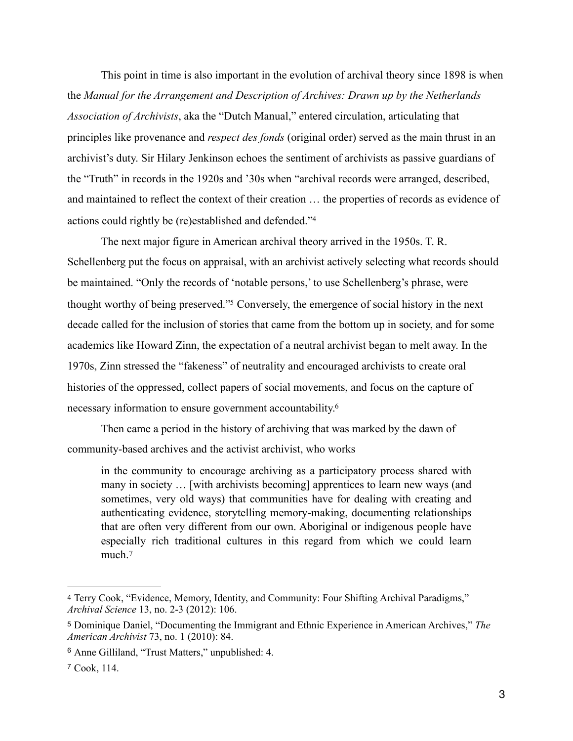This point in time is also important in the evolution of archival theory since 1898 is when the *Manual for the Arrangement and Description of Archives: Drawn up by the Netherlands Association of Archivists*, aka the "Dutch Manual," entered circulation, articulating that principles like provenance and *respect des fonds* (original order) served as the main thrust in an archivist's duty. Sir Hilary Jenkinson echoes the sentiment of archivists as passive guardians of the "Truth" in records in the 1920s and '30s when "archival records were arranged, described, and maintained to reflect the context of their creation … the properties of records as evidence of actions could rightly be (re)established and defended.["4](#page-2-0)

<span id="page-2-5"></span><span id="page-2-4"></span> The next major figure in American archival theory arrived in the 1950s. T. R. Schellenberg put the focus on appraisal, with an archivist actively selecting what records should be maintained. "Only the records of 'notable persons,' to use Schellenberg's phrase, were thought worthy of being preserved.["](#page-2-1)<sup>[5](#page-2-1)</sup> Conversely, the emergence of social history in the next decade called for the inclusion of stories that came from the bottom up in society, and for some academics like Howard Zinn, the expectation of a neutral archivist began to melt away. In the 1970s, Zinn stressed the "fakeness" of neutrality and encouraged archivists to create oral histories of the oppressed, collect papers of social movements, and focus on the capture of necessary information to ensure government accountability[.6](#page-2-2)

 Then came a period in the history of archiving that was marked by the dawn of community-based archives and the activist archivist, who works

<span id="page-2-6"></span>in the community to encourage archiving as a participatory process shared with many in society … [with archivists becoming] apprentices to learn new ways (and sometimes, very old ways) that communities have for dealing with creating and authenticating evidence, storytelling memory-making, documenting relationships that are often very different from our own. Aboriginal or indigenous people have especially rich traditional cultures in this regard from which we could learn much.[7](#page-2-3)

<span id="page-2-7"></span><span id="page-2-0"></span>[<sup>4</sup>](#page-2-4) Terry Cook, "Evidence, Memory, Identity, and Community: Four Shifting Archival Paradigms," *Archival Science* 13, no. 2-3 (2012): 106.

<span id="page-2-1"></span>[<sup>5</sup>](#page-2-5) Dominique Daniel, "Documenting the Immigrant and Ethnic Experience in American Archives," *The American Archivist* 73, no. 1 (2010): 84.

<span id="page-2-2"></span><sup>&</sup>lt;sup>[6](#page-2-6)</sup> Anne Gilliland, "Trust Matters," unpublished: 4.

<span id="page-2-3"></span><sup>&</sup>lt;sup>[7](#page-2-7)</sup> Cook, 114.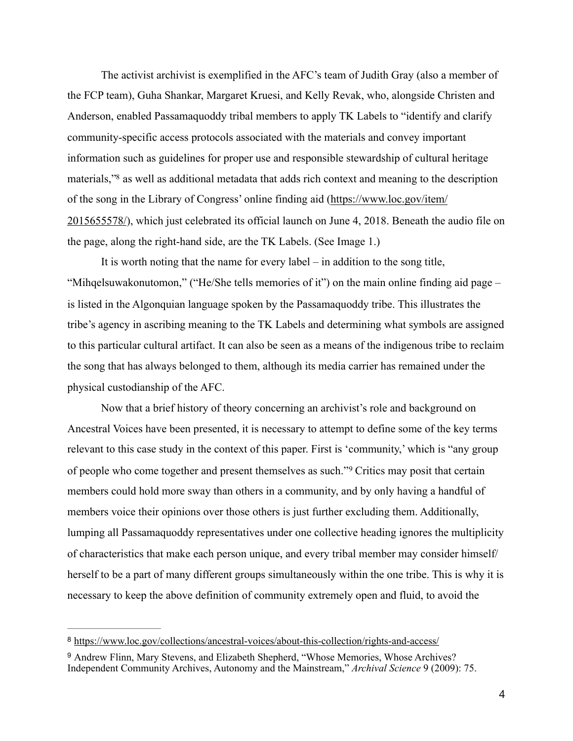The activist archivist is exemplified in the AFC's team of Judith Gray (also a member of the FCP team), Guha Shankar, Margaret Kruesi, and Kelly Revak, who, alongside Christen and Anderson, enabled Passamaquoddy tribal members to apply TK Labels to "identify and clarify community-specific access protocols associated with the materials and convey important information such as guidelines for proper use and responsible stewardship of cultural heritage materials,["](#page-3-0)<sup>[8](#page-3-0)</sup> as well as additional metadata that adds rich context and meaning to the description of the song in the Library of Congress' online finding aid [\(https://www.loc.gov/item/](https://www.loc.gov/item/2015655578/) [2015655578/](https://www.loc.gov/item/2015655578/)), which just celebrated its official launch on June 4, 2018. Beneath the audio file on the page, along the right-hand side, are the TK Labels. (See Image 1.)

<span id="page-3-2"></span> It is worth noting that the name for every label – in addition to the song title, "Mihqelsuwakonutomon," ("He/She tells memories of it") on the main online finding aid page – is listed in the Algonquian language spoken by the Passamaquoddy tribe. This illustrates the tribe's agency in ascribing meaning to the TK Labels and determining what symbols are assigned to this particular cultural artifact. It can also be seen as a means of the indigenous tribe to reclaim the song that has always belonged to them, although its media carrier has remained under the physical custodianship of the AFC.

<span id="page-3-3"></span> Now that a brief history of theory concerning an archivist's role and background on Ancestral Voices have been presented, it is necessary to attempt to define some of the key terms relevant to this case study in the context of this paper. First is 'community,' which is "any group ofpeople who come together and present themselves as such."<sup>[9](#page-3-1)</sup> Critics may posit that certain members could hold more sway than others in a community, and by only having a handful of members voice their opinions over those others is just further excluding them. Additionally, lumping all Passamaquoddy representatives under one collective heading ignores the multiplicity of characteristics that make each person unique, and every tribal member may consider himself/ herself to be a part of many different groups simultaneously within the one tribe. This is why it is necessary to keep the above definition of community extremely open and fluid, to avoid the

<span id="page-3-0"></span><https://www.loc.gov/collections/ancestral-voices/about-this-collection/rights-and-access/> [8](#page-3-2)

<span id="page-3-1"></span><sup>&</sup>lt;sup>[9](#page-3-3)</sup> Andrew Flinn, Mary Stevens, and Elizabeth Shepherd, "Whose Memories, Whose Archives? Independent Community Archives, Autonomy and the Mainstream," *Archival Science* 9 (2009): 75.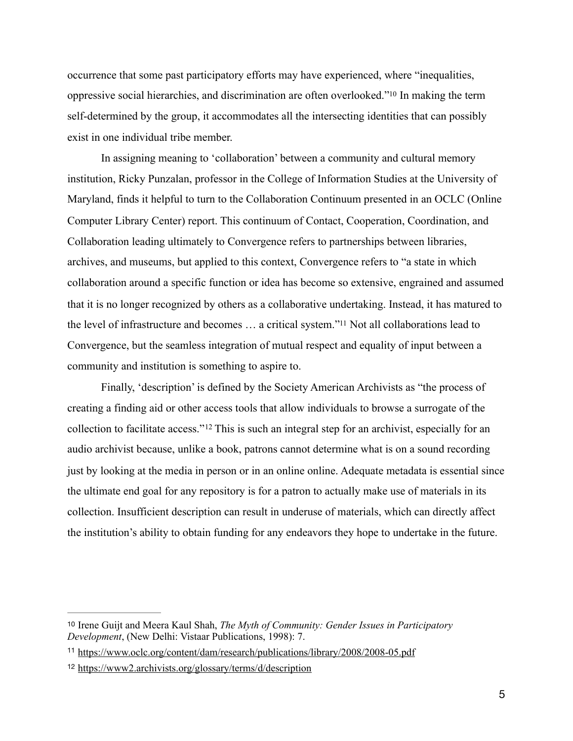<span id="page-4-3"></span>occurrence that some past participatory efforts may have experienced, where "inequalities, oppressive social hierarchies, and discrimination are often overlooked.["](#page-4-0) In making the term [10](#page-4-0) self-determined by the group, it accommodates all the intersecting identities that can possibly exist in one individual tribe member.

 In assigning meaning to 'collaboration' between a community and cultural memory institution, Ricky Punzalan, professor in the College of Information Studies at the University of Maryland, finds it helpful to turn to the Collaboration Continuum presented in an OCLC (Online Computer Library Center) report. This continuum of Contact, Cooperation, Coordination, and Collaboration leading ultimately to Convergence refers to partnerships between libraries, archives, and museums, but applied to this context, Convergence refers to "a state in which collaboration around a specific function or idea has become so extensive, engrained and assumed that it is no longer recognized by others as a collaborative undertaking. Instead, it has matured to the level of infrastructure and becomes ... a critical system."<sup>[11](#page-4-1)</sup> Not all collaborations lead to Convergence, but the seamless integration of mutual respect and equality of input between a community and institution is something to aspire to.

<span id="page-4-5"></span><span id="page-4-4"></span> Finally, 'description' is defined by the Society American Archivists as "the process of creating a finding aid or other access tools that allow individuals to browse a surrogate of the collectionto facilitate access."<sup>[12](#page-4-2)</sup> This is such an integral step for an archivist, especially for an audio archivist because, unlike a book, patrons cannot determine what is on a sound recording just by looking at the media in person or in an online online. Adequate metadata is essential since the ultimate end goal for any repository is for a patron to actually make use of materials in its collection. Insufficient description can result in underuse of materials, which can directly affect the institution's ability to obtain funding for any endeavors they hope to undertake in the future.

<span id="page-4-0"></span>[<sup>10</sup>](#page-4-3) Irene Guijt and Meera Kaul Shah, *The Myth of Community: Gender Issues in Participatory Development*, (New Delhi: Vistaar Publications, 1998): 7.

<span id="page-4-1"></span><sup>&</sup>lt;sup>11</sup> <https://www.oclc.org/content/dam/research/publications/library/2008/2008-05.pdf>

<span id="page-4-2"></span><sup>&</sup>lt;sup>12</sup> <https://www2.archivists.org/glossary/terms/d/description>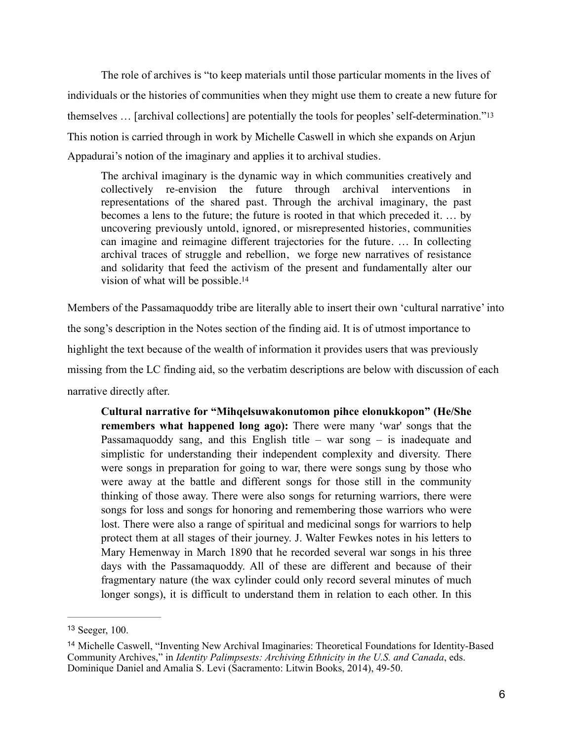The role of archives is "to keep materials until those particular moments in the lives of individuals or the histories of communities when they might use them to create a new future for themselves … [archival collections] are potentially the tools for peoples' self-determination."[13](#page-5-0)  This notion is carried through in work by Michelle Caswell in which she expands on Arjun Appadurai's notion of the imaginary and applies it to archival studies.

<span id="page-5-3"></span><span id="page-5-2"></span>The archival imaginary is the dynamic way in which communities creatively and collectively re-envision the future through archival interventions in representations of the shared past. Through the archival imaginary, the past becomes a lens to the future; the future is rooted in that which preceded it. … by uncovering previously untold, ignored, or misrepresented histories, communities can imagine and reimagine different trajectories for the future. … In collecting archival traces of struggle and rebellion, we forge new narratives of resistance and solidarity that feed the activism of the present and fundamentally alter our vision of what will be possible.[14](#page-5-1)

Members of the Passamaquoddy tribe are literally able to insert their own 'cultural narrative' into the song's description in the Notes section of the finding aid. It is of utmost importance to highlight the text because of the wealth of information it provides users that was previously missing from the LC finding aid, so the verbatim descriptions are below with discussion of each narrative directly after.

**Cultural narrative for "Mihqelsuwakonutomon pihce elonukkopon" (He/She remembers what happened long ago):** There were many 'war' songs that the Passamaquoddy sang, and this English title – war song – is inadequate and simplistic for understanding their independent complexity and diversity. There were songs in preparation for going to war, there were songs sung by those who were away at the battle and different songs for those still in the community thinking of those away. There were also songs for returning warriors, there were songs for loss and songs for honoring and remembering those warriors who were lost. There were also a range of spiritual and medicinal songs for warriors to help protect them at all stages of their journey. J. Walter Fewkes notes in his letters to Mary Hemenway in March 1890 that he recorded several war songs in his three days with the Passamaquoddy. All of these are different and because of their fragmentary nature (the wax cylinder could only record several minutes of much longer songs), it is difficult to understand them in relation to each other. In this

<span id="page-5-0"></span><sup>&</sup>lt;sup>[13](#page-5-2)</sup> Seeger, 100.

<span id="page-5-1"></span><sup>&</sup>lt;sup>[14](#page-5-3)</sup> Michelle Caswell, "Inventing New Archival Imaginaries: Theoretical Foundations for Identity-Based Community Archives," in *Identity Palimpsests: Archiving Ethnicity in the U.S. and Canada*, eds. Dominique Daniel and Amalia S. Levi (Sacramento: Litwin Books, 2014), 49-50.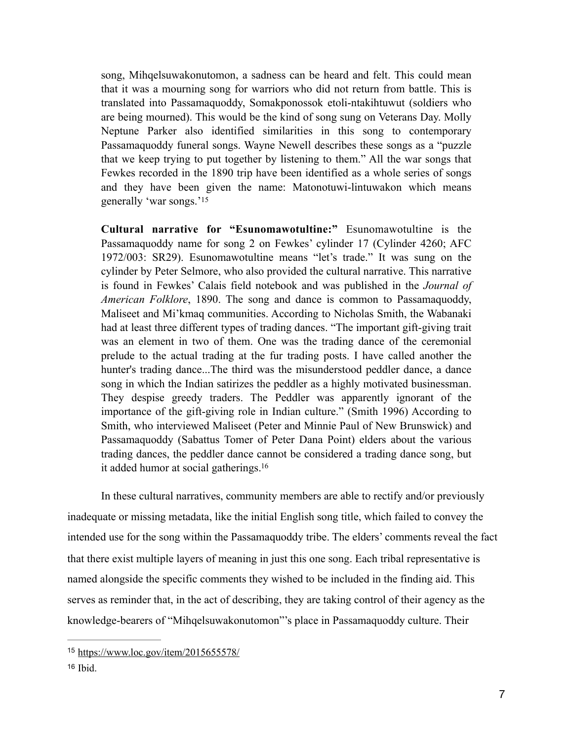song, Mihqelsuwakonutomon, a sadness can be heard and felt. This could mean that it was a mourning song for warriors who did not return from battle. This is translated into Passamaquoddy, Somakponossok etoli-ntakihtuwut (soldiers who are being mourned). This would be the kind of song sung on Veterans Day. Molly Neptune Parker also identified similarities in this song to contemporary Passamaquoddy funeral songs. Wayne Newell describes these songs as a "puzzle that we keep trying to put together by listening to them." All the war songs that Fewkes recorded in the 1890 trip have been identified as a whole series of songs and they have been given the name: Matonotuwi-lintuwakon which means generally 'war songs.'[15](#page-6-0)

<span id="page-6-2"></span>**Cultural narrative for "Esunomawotultine:"** Esunomawotultine is the Passamaquoddy name for song 2 on Fewkes' cylinder 17 (Cylinder 4260; AFC 1972/003: SR29). Esunomawotultine means "let's trade." It was sung on the cylinder by Peter Selmore, who also provided the cultural narrative. This narrative is found in Fewkes' Calais field notebook and was published in the *Journal of American Folklore*, 1890. The song and dance is common to Passamaquoddy, Maliseet and Mi'kmaq communities. According to Nicholas Smith, the Wabanaki had at least three different types of trading dances. "The important gift-giving trait was an element in two of them. One was the trading dance of the ceremonial prelude to the actual trading at the fur trading posts. I have called another the hunter's trading dance...The third was the misunderstood peddler dance, a dance song in which the Indian satirizes the peddler as a highly motivated businessman. They despise greedy traders. The Peddler was apparently ignorant of the importance of the gift-giving role in Indian culture." (Smith 1996) According to Smith, who interviewed Maliseet (Peter and Minnie Paul of New Brunswick) and Passamaquoddy (Sabattus Tomer of Peter Dana Point) elders about the various trading dances, the peddler dance cannot be considered a trading dance song, but it added humor at social gatherings[.16](#page-6-1)

<span id="page-6-3"></span> In these cultural narratives, community members are able to rectify and/or previously inadequate or missing metadata, like the initial English song title, which failed to convey the intended use for the song within the Passamaquoddy tribe. The elders' comments reveal the fact that there exist multiple layers of meaning in just this one song. Each tribal representative is named alongside the specific comments they wished to be included in the finding aid. This serves as reminder that, in the act of describing, they are taking control of their agency as the knowledge-bearers of "Mihqelsuwakonutomon"'s place in Passamaquoddy culture. Their

<span id="page-6-0"></span><sup>15</sup> <https://www.loc.gov/item/2015655578/>

<span id="page-6-1"></span> $16$  Ibid.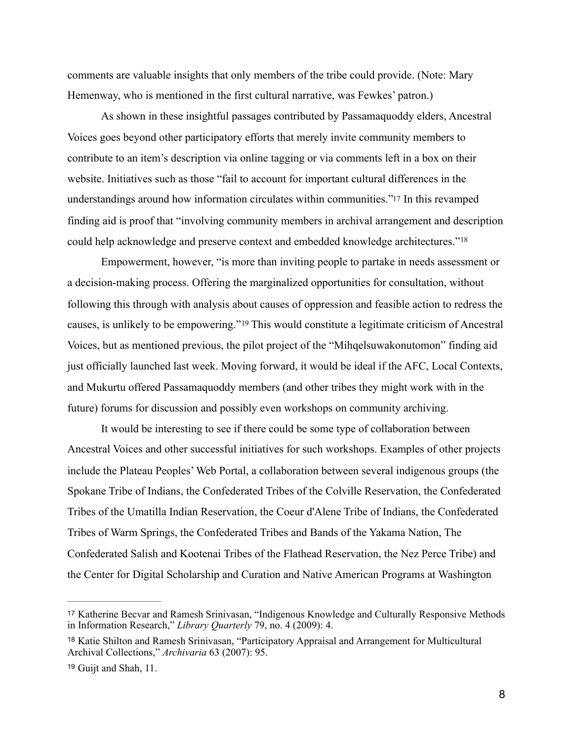comments are valuable insights that only members of the tribe could provide. (Note: Mary Hemenway, who is mentioned in the first cultural narrative, was Fewkes' patron.)

 As shown in these insightful passages contributed by Passamaquoddy elders, Ancestral Voices goes beyond other participatory efforts that merely invite community members to contribute to an item's description via online tagging or via comments left in a box on their website. Initiatives such as those "fail to account for important cultural differences in the understandings around how information circulates within communities.["17](#page-7-0) In this revamped finding aid is proof that "involving community members in archival arrangement and description could help acknowledge and preserve context and embedded knowledge architectures."[18](#page-7-1)

<span id="page-7-5"></span><span id="page-7-4"></span><span id="page-7-3"></span>Empowerment, however, "is more than inviting people to partake in needs assessment or a decision-making process. Offering the marginalized opportunities for consultation, without following this through with analysis about causes of oppression and feasible action to redress the causes,is unlikely to be empowering."<sup>[19](#page-7-2)</sup> This would constitute a legitimate criticism of Ancestral Voices, but as mentioned previous, the pilot project of the "Mihqelsuwakonutomon" finding aid just officially launched last week. Moving forward, it would be ideal if the AFC, Local Contexts, and Mukurtu offered Passamaquoddy members (and other tribes they might work with in the future) forums for discussion and possibly even workshops on community archiving.

 It would be interesting to see if there could be some type of collaboration between Ancestral Voices and other successful initiatives for such workshops. Examples of other projects include the Plateau Peoples' Web Portal, a collaboration between several indigenous groups (the Spokane Tribe of Indians, the Confederated Tribes of the Colville Reservation, the Confederated Tribes of the Umatilla Indian Reservation, the Coeur d'Alene Tribe of Indians, the Confederated Tribes of Warm Springs, the Confederated Tribes and Bands of the Yakama Nation, The Confederated Salish and Kootenai Tribes of the Flathead Reservation, the Nez Perce Tribe) and the Center for Digital Scholarship and Curation and Native American Programs at Washington

<span id="page-7-0"></span>[<sup>17</sup>](#page-7-3) Katherine Becvar and Ramesh Srinivasan, "Indigenous Knowledge and Culturally Responsive Methods in Information Research," *Library Quarterly* 79, no. 4 (2009): 4.

<span id="page-7-1"></span><sup>&</sup>lt;sup>[18](#page-7-4)</sup> Katie Shilton and Ramesh Srinivasan, "Participatory Appraisal and Arrangement for Multicultural Archival Collections," *Archivaria* 63 (2007): 95.

<span id="page-7-2"></span><sup>&</sup>lt;sup>[19](#page-7-5)</sup> Guijt and Shah, 11.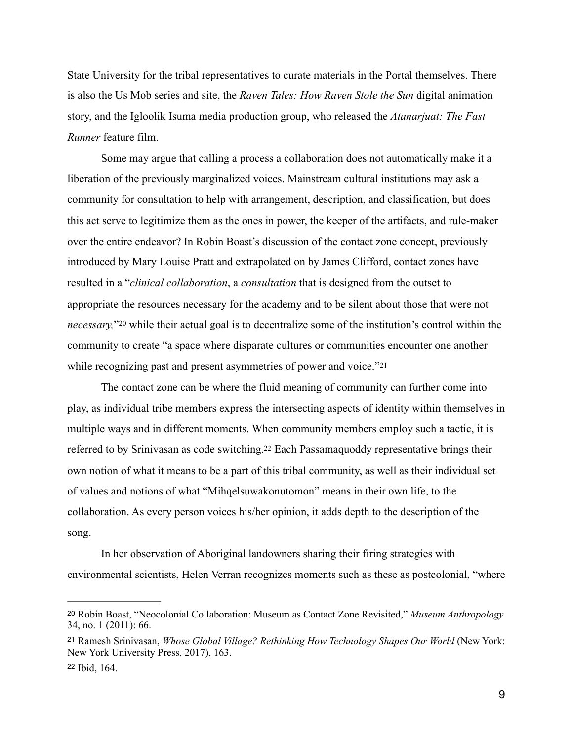State University for the tribal representatives to curate materials in the Portal themselves. There is also the Us Mob series and site, the *Raven Tales: How Raven Stole the Sun* digital animation story, and the Igloolik Isuma media production group, who released the *Atanarjuat: The Fast Runner* feature film.

Some may argue that calling a process a collaboration does not automatically make it a liberation of the previously marginalized voices. Mainstream cultural institutions may ask a community for consultation to help with arrangement, description, and classification, but does this act serve to legitimize them as the ones in power, the keeper of the artifacts, and rule-maker over the entire endeavor? In Robin Boast's discussion of the contact zone concept, previously introduced by Mary Louise Pratt and extrapolated on by James Clifford, contact zones have resulted in a "*clinical collaboration*, a *consultation* that is designed from the outset to appropriate the resources necessary for the academy and to be silent about those that were not *necessary*,"<sup>20</sup>while their actual goal is to decentralize some of the institution's control within the community to create "a space where disparate cultures or communities encounter one another while recognizing past and present asymmetries of power and voice."[21](#page-8-1)

<span id="page-8-5"></span><span id="page-8-4"></span><span id="page-8-3"></span> The contact zone can be where the fluid meaning of community can further come into play, as individual tribe members express the intersecting aspects of identity within themselves in multiple ways and in different moments. When community members employ such a tactic, it is referred to by Srinivasan as code switching[.22](#page-8-2) Each Passamaquoddy representative brings their own notion of what it means to be a part of this tribal community, as well as their individual set of values and notions of what "Mihqelsuwakonutomon" means in their own life, to the collaboration. As every person voices his/her opinion, it adds depth to the description of the song.

 In her observation of Aboriginal landowners sharing their firing strategies with environmental scientists, Helen Verran recognizes moments such as these as postcolonial, "where

<span id="page-8-0"></span>[<sup>20</sup>](#page-8-3) Robin Boast, "Neocolonial Collaboration: Museum as Contact Zone Revisited," *Museum Anthropology* 34, no. 1 (2011): 66.

<span id="page-8-1"></span>Ramesh Srinivasan, *Whose Global Village? Rethinking How Technology Shapes Our World* (New York: [21](#page-8-4) New York University Press, 2017), 163.

<span id="page-8-2"></span><sup>&</sup>lt;sup>[22](#page-8-5)</sup> Ibid, 164.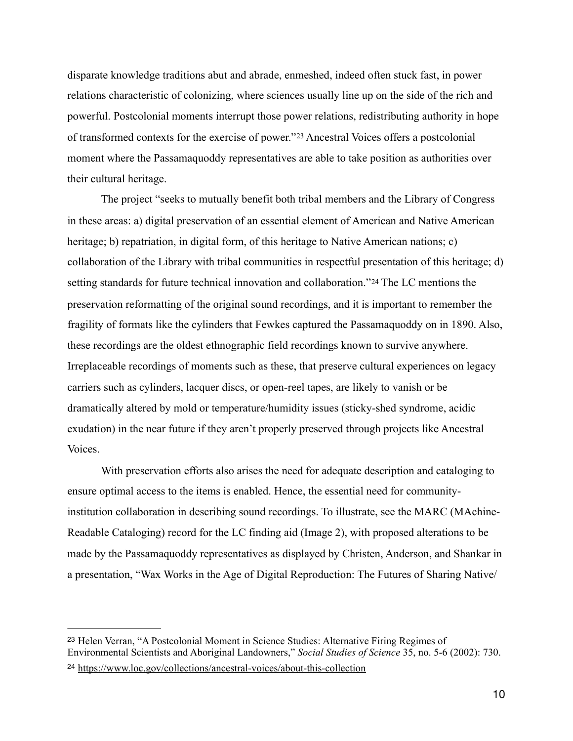<span id="page-9-2"></span>disparate knowledge traditions abut and abrade, enmeshed, indeed often stuck fast, in power relations characteristic of colonizing, where sciences usually line up on the side of the rich and powerful. Postcolonial moments interrupt those power relations, redistributing authority in hope oftransformed contexts for the exercise of power."<sup>[23](#page-9-0)</sup> Ancestral Voices offers a postcolonial moment where the Passamaquoddy representatives are able to take position as authorities over their cultural heritage.

<span id="page-9-3"></span> The project "seeks to mutually benefit both tribal members and the Library of Congress in these areas: a) digital preservation of an essential element of American and Native American heritage; b) repatriation, in digital form, of this heritage to Native American nations; c) collaboration of the Library with tribal communities in respectful presentation of this heritage; d) setting standards for future technical innovation and collaboration."[24](#page-9-1) The LC mentions the preservation reformatting of the original sound recordings, and it is important to remember the fragility of formats like the cylinders that Fewkes captured the Passamaquoddy on in 1890. Also, these recordings are the oldest ethnographic field recordings known to survive anywhere. Irreplaceable recordings of moments such as these, that preserve cultural experiences on legacy carriers such as cylinders, lacquer discs, or open-reel tapes, are likely to vanish or be dramatically altered by mold or temperature/humidity issues (sticky-shed syndrome, acidic exudation) in the near future if they aren't properly preserved through projects like Ancestral Voices.

 With preservation efforts also arises the need for adequate description and cataloging to ensure optimal access to the items is enabled. Hence, the essential need for communityinstitution collaboration in describing sound recordings. To illustrate, see the MARC (MAchine-Readable Cataloging) record for the LC finding aid (Image 2), with proposed alterations to be made by the Passamaquoddy representatives as displayed by Christen, Anderson, and Shankar in a presentation, "Wax Works in the Age of Digital Reproduction: The Futures of Sharing Native/

<span id="page-9-0"></span><sup>&</sup>lt;sup>[23](#page-9-2)</sup> Helen Verran, "A Postcolonial Moment in Science Studies: Alternative Firing Regimes of Environmental Scientists and Aboriginal Landowners," *Social Studies of Science* 35, no. 5-6 (2002): 730.

<span id="page-9-1"></span><https://www.loc.gov/collections/ancestral-voices/about-this-collection> [24](#page-9-3)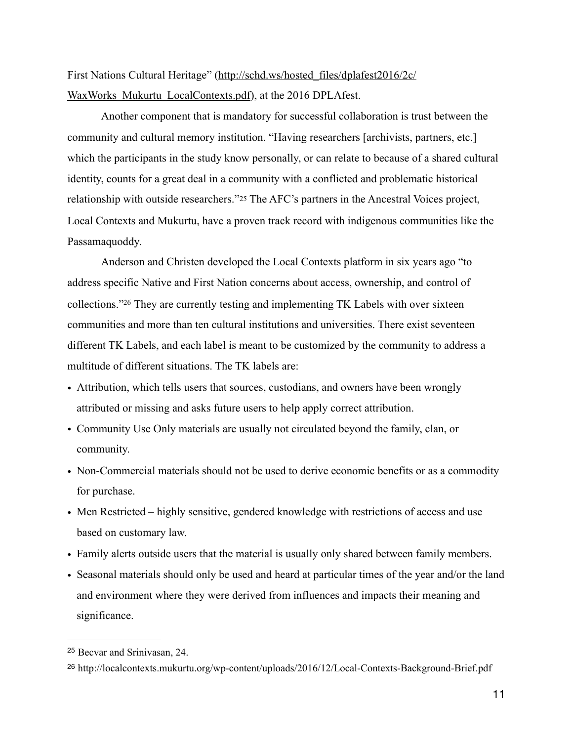First Nations Cultural Heritage" [\(http://schd.ws/hosted\\_files/dplafest2016/2c/](http://schd.ws/hosted_files/dplafest2016/2c/WaxWorks_Mukurtu_LocalContexts.pdf) WaxWorks Mukurtu LocalContexts.pdf), at the 2016 DPLAfest.

 Another component that is mandatory for successful collaboration is trust between the community and cultural memory institution. "Having researchers [archivists, partners, etc.] which the participants in the study know personally, or can relate to because of a shared cultural identity, counts for a great deal in a community with a conflicted and problematic historical relationship with outside researchers."[25](#page-10-0) The AFC's partners in the Ancestral Voices project, Local Contexts and Mukurtu, have a proven track record with indigenous communities like the Passamaquoddy.

<span id="page-10-3"></span><span id="page-10-2"></span> Anderson and Christen developed the Local Contexts platform in six years ago "to address specific Native and First Nation concerns about access, ownership, and control of collections.["](#page-10-1) <sup>[26](#page-10-1)</sup> They are currently testing and implementing TK Labels with over sixteen communities and more than ten cultural institutions and universities. There exist seventeen different TK Labels, and each label is meant to be customized by the community to address a multitude of different situations. The TK labels are:

- Attribution, which tells users that sources, custodians, and owners have been wrongly attributed or missing and asks future users to help apply correct attribution.
- Community Use Only materials are usually not circulated beyond the family, clan, or community.
- Non-Commercial materials should not be used to derive economic benefits or as a commodity for purchase.
- Men Restricted highly sensitive, gendered knowledge with restrictions of access and use based on customary law.
- Family alerts outside users that the material is usually only shared between family members.
- Seasonal materials should only be used and heard at particular times of the year and/or the land and environment where they were derived from influences and impacts their meaning and significance.

<span id="page-10-0"></span><sup>&</sup>lt;sup>[25](#page-10-2)</sup> Becvar and Srinivasan, 24.

<span id="page-10-1"></span><sup>&</sup>lt;sup>[26](#page-10-3)</sup> http://localcontexts.mukurtu.org/wp-content/uploads/2016/12/Local-Contexts-Background-Brief.pdf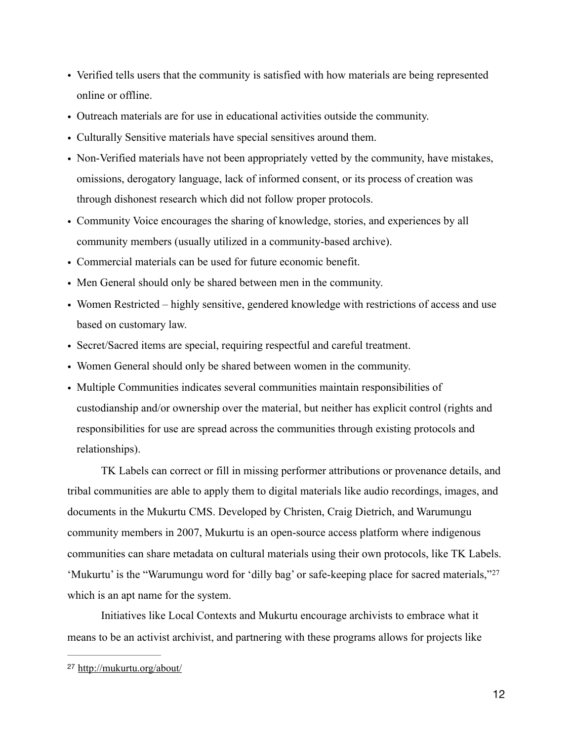- Verified tells users that the community is satisfied with how materials are being represented online or offline.
- Outreach materials are for use in educational activities outside the community.
- Culturally Sensitive materials have special sensitives around them.
- Non-Verified materials have not been appropriately vetted by the community, have mistakes, omissions, derogatory language, lack of informed consent, or its process of creation was through dishonest research which did not follow proper protocols.
- Community Voice encourages the sharing of knowledge, stories, and experiences by all community members (usually utilized in a community-based archive).
- Commercial materials can be used for future economic benefit.
- Men General should only be shared between men in the community.
- Women Restricted highly sensitive, gendered knowledge with restrictions of access and use based on customary law.
- Secret/Sacred items are special, requiring respectful and careful treatment.
- Women General should only be shared between women in the community.
- Multiple Communities indicates several communities maintain responsibilities of custodianship and/or ownership over the material, but neither has explicit control (rights and responsibilities for use are spread across the communities through existing protocols and relationships).

 TK Labels can correct or fill in missing performer attributions or provenance details, and tribal communities are able to apply them to digital materials like audio recordings, images, and documents in the Mukurtu CMS. Developed by Christen, Craig Dietrich, and Warumungu community members in 2007, Mukurtu is an open-source access platform where indigenous communities can share metadata on cultural materials using their own protocols, like TK Labels. 'Mukurtu' is the "Warumungu word for 'dilly bag' or safe-keeping place for sacred materials,"[27](#page-11-0) which is an apt name for the system.

<span id="page-11-1"></span> Initiatives like Local Contexts and Mukurtu encourage archivists to embrace what it means to be an activist archivist, and partnering with these programs allows for projects like

<span id="page-11-0"></span><http://mukurtu.org/about/> [27](#page-11-1)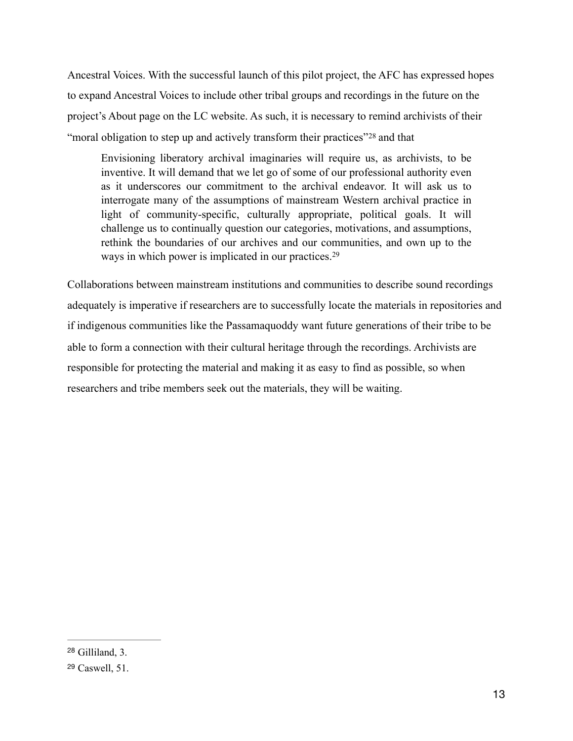Ancestral Voices. With the successful launch of this pilot project, the AFC has expressed hopes to expand Ancestral Voices to include other tribal groups and recordings in the future on the project's About page on the LC website. As such, it is necessary to remind archivists of their "moralobligation to step up and actively transform their practices"<sup>[28](#page-12-0)</sup> and that

<span id="page-12-3"></span><span id="page-12-2"></span>Envisioning liberatory archival imaginaries will require us, as archivists, to be inventive. It will demand that we let go of some of our professional authority even as it underscores our commitment to the archival endeavor. It will ask us to interrogate many of the assumptions of mainstream Western archival practice in light of community-specific, culturally appropriate, political goals. It will challenge us to continually question our categories, motivations, and assumptions, rethink the boundaries of our archives and our communities, and own up to the ways in which power is implicated in our practices.<sup>[29](#page-12-1)</sup>

Collaborations between mainstream institutions and communities to describe sound recordings adequately is imperative if researchers are to successfully locate the materials in repositories and if indigenous communities like the Passamaquoddy want future generations of their tribe to be able to form a connection with their cultural heritage through the recordings. Archivists are responsible for protecting the material and making it as easy to find as possible, so when researchers and tribe members seek out the materials, they will be waiting.

<span id="page-12-0"></span> $28$  Gilliland, 3.

<span id="page-12-1"></span><sup>&</sup>lt;sup>[29](#page-12-3)</sup> Caswell, 51.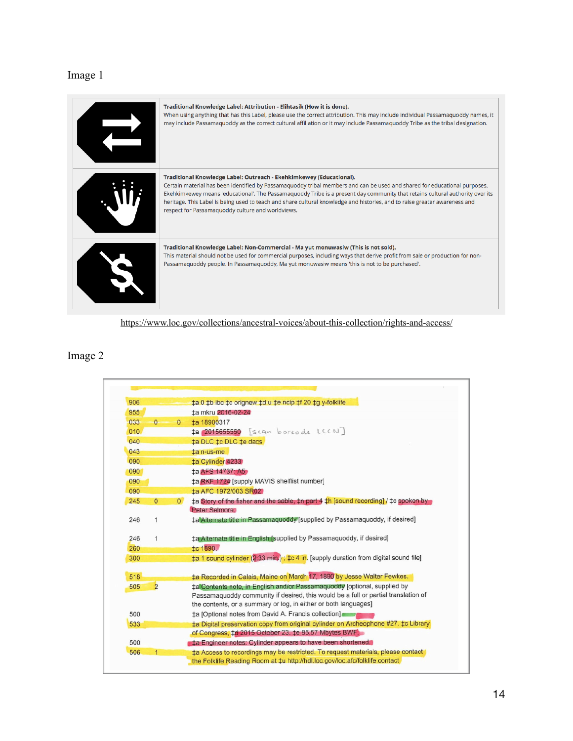## Image 1

| Traditional Knowledge Label: Attribution - Elihtasik (How it is done).<br>When using anything that has this Label, please use the correct attribution. This may include individual Passamaquoddy names, it<br>may include Passamaquoddy as the correct cultural affiliation or it may include Passamaquoddy Tribe as the tribal designation.                                                                                                                                                                         |
|----------------------------------------------------------------------------------------------------------------------------------------------------------------------------------------------------------------------------------------------------------------------------------------------------------------------------------------------------------------------------------------------------------------------------------------------------------------------------------------------------------------------|
| Traditional Knowledge Label: Outreach - Ekehkimkewey (Educational).<br>Certain material has been identified by Passamaquoddy tribal members and can be used and shared for educational purposes.<br>Ekehkimkewey means 'educational'. The Passamaquoddy Tribe is a present day community that retains cultural authority over its<br>heritage. This Label is being used to teach and share cultural knowledge and histories, and to raise greater awareness and<br>respect for Passamaquoddy culture and worldviews. |
| Traditional Knowledge Label: Non-Commercial - Ma yut monuwasiw (This is not sold).<br>This material should not be used for commercial purposes, including ways that derive profit from sale or production for non-<br>Passamaquoddy people. In Passamaquoddy, Ma yut monuwasiw means 'this is not to be purchased'.                                                                                                                                                                                                  |

<https://www.loc.gov/collections/ancestral-voices/about-this-collection/rights-and-access/>

## Image 2

| 906 |                |                | #a 0 #b ibc #c orignew #d u #e ncip #f 20 #g y-folklife                                                 |
|-----|----------------|----------------|---------------------------------------------------------------------------------------------------------|
| 955 |                |                | ±a mkru 2016-02-24                                                                                      |
| 033 | $0 -$          | $\Omega$       | ta 18900317                                                                                             |
| 010 |                |                | # 2015655550 [scan borcode LCCN]                                                                        |
| 040 |                |                | ta DLC tc DLC te dacs                                                                                   |
| 043 |                |                | $tan$ -us-me                                                                                            |
| 090 |                |                | ‡a Cylinder 4233                                                                                        |
| 090 |                |                | ‡a AFS 14737: A5                                                                                        |
| 090 |                |                | ‡a RKF 1724 [supply MAVIS shelflist number]                                                             |
| 090 |                |                | ta AFC 1972/003 SR02                                                                                    |
| 245 | $\overline{0}$ | $\overline{0}$ | $\pm a$ Story of the fisher and the sable, $\pm n$ part 4 $\pm h$ [sound recording] / $\pm c$ spoken by |
|     |                |                | Peter Selmore.                                                                                          |
| 246 | 1              |                | ‡a Alternate title in Passamaquoddy [supplied by Passamaquoddy, if desired]                             |
|     |                |                |                                                                                                         |
| 246 | 1              |                | ta Alternate title in English [supplied by Passamaguoddy, if desired]                                   |
| 260 |                |                | <b>‡c 1890.</b>                                                                                         |
| 300 |                |                | ‡a 1 sound cylinder (2:33 min.); ‡c 4 in. [supply duration from digital sound file]                     |
| 518 |                |                | ‡a Recorded in Calais, Maine on March 17, 1890 by Jesse Walter Fewkes.                                  |
| 505 | $\overline{2}$ |                | ‡a Contents note, in English and/or Passamaquoddy [optional, supplied by                                |
|     |                |                | Passamaquoddy community if desired, this would be a full or partial translation of                      |
|     |                |                | the contents, or a summary or log, in either or both languages]                                         |
| 500 |                |                | ta [Optional notes from David A. Francis collection]                                                    |
| 533 |                |                | ta Digital preservation copy from original cylinder on Archeophone #27, to Library                      |
|     |                |                | of Congress, ‡d 2015 October 23. ‡e 85.57 Mbytes BWF.                                                   |
| 500 |                |                | ‡a Engineer notes: Cylinder appears to have been shortened.                                             |